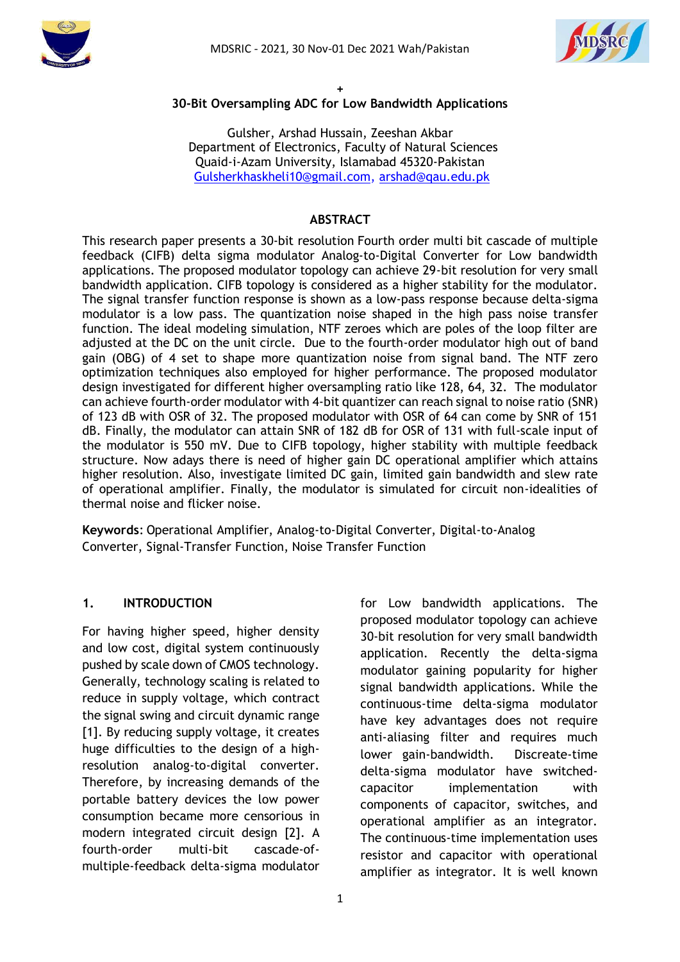



#### **+ 30-Bit Oversampling ADC for Low Bandwidth Applications**

Gulsher, Arshad Hussain, Zeeshan Akbar Department of Electronics, Faculty of Natural Sciences Quaid-i-Azam University, Islamabad 45320-Pakistan [Gulsherkhaskheli10@gmail.com,](mailto:%20m.ahmad.qau@gmail.com) [arshad@qau.edu.pk](mailto:arshad@qau.edu.pk)

#### **ABSTRACT**

This research paper presents a 30-bit resolution Fourth order multi bit cascade of multiple feedback (CIFB) delta sigma modulator Analog-to-Digital Converter for Low bandwidth applications. The proposed modulator topology can achieve 29-bit resolution for very small bandwidth application. CIFB topology is considered as a higher stability for the modulator. The signal transfer function response is shown as a low-pass response because delta-sigma modulator is a low pass. The quantization noise shaped in the high pass noise transfer function. The ideal modeling simulation, NTF zeroes which are poles of the loop filter are adjusted at the DC on the unit circle. Due to the fourth-order modulator high out of band gain (OBG) of 4 set to shape more quantization noise from signal band. The NTF zero optimization techniques also employed for higher performance. The proposed modulator design investigated for different higher oversampling ratio like 128, 64, 32. The modulator can achieve fourth-order modulator with 4-bit quantizer can reach signal to noise ratio (SNR) of 123 dB with OSR of 32. The proposed modulator with OSR of 64 can come by SNR of 151 dB. Finally, the modulator can attain SNR of 182 dB for OSR of 131 with full-scale input of the modulator is 550 mV. Due to CIFB topology, higher stability with multiple feedback structure. Now adays there is need of higher gain DC operational amplifier which attains higher resolution. Also, investigate limited DC gain, limited gain bandwidth and slew rate of operational amplifier. Finally, the modulator is simulated for circuit non-idealities of thermal noise and flicker noise.

**Keywords**: Operational Amplifier, Analog-to-Digital Converter, Digital-to-Analog Converter, Signal-Transfer Function, Noise Transfer Function

#### **1. INTRODUCTION**

For having higher speed, higher density and low cost, digital system continuously pushed by scale down of CMOS technology. Generally, technology scaling is related to reduce in supply voltage, which contract the signal swing and circuit dynamic range [1]. By reducing supply voltage, it creates huge difficulties to the design of a highresolution analog-to-digital converter. Therefore, by increasing demands of the portable battery devices the low power consumption became more censorious in modern integrated circuit design [2]. A fourth-order multi-bit cascade-ofmultiple-feedback delta-sigma modulator

for Low bandwidth applications. The proposed modulator topology can achieve 30-bit resolution for very small bandwidth application. Recently the delta-sigma modulator gaining popularity for higher signal bandwidth applications. While the continuous-time delta-sigma modulator have key advantages does not require anti-aliasing filter and requires much lower gain-bandwidth. Discreate-time delta-sigma modulator have switchedcapacitor implementation with components of capacitor, switches, and operational amplifier as an integrator. The continuous-time implementation uses resistor and capacitor with operational amplifier as integrator. It is well known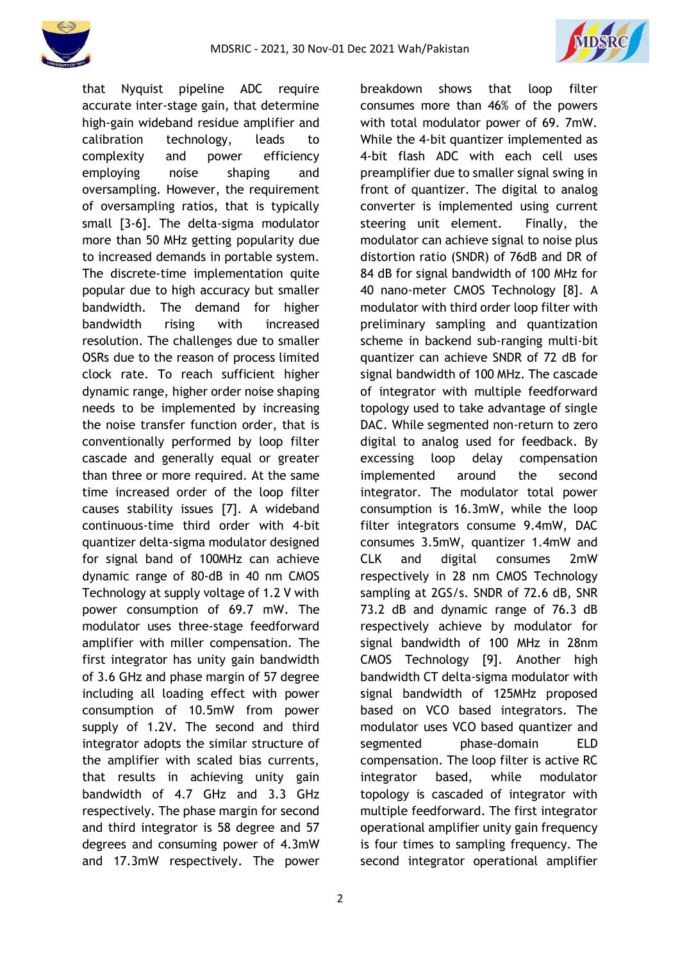

breakdown shows that loop filter consumes more than 46% of the powers with total modulator power of 69. 7mW. While the 4-bit quantizer implemented as 4-bit flash ADC with each cell uses preamplifier due to smaller signal swing in front of quantizer. The digital to analog converter is implemented using current steering unit element. Finally, the modulator can achieve signal to noise plus distortion ratio (SNDR) of 76dB and DR of 84 dB for signal bandwidth of 100 MHz for 40 nano-meter CMOS Technology [8]. A modulator with third order loop filter with preliminary sampling and quantization scheme in backend sub-ranging multi-bit quantizer can achieve SNDR of 72 dB for signal bandwidth of 100 MHz. The cascade of integrator with multiple feedforward topology used to take advantage of single DAC. While segmented non-return to zero digital to analog used for feedback. By excessing loop delay compensation implemented around the second integrator. The modulator total power consumption is 16.3mW, while the loop filter integrators consume 9.4mW, DAC consumes 3.5mW, quantizer 1.4mW and CLK and digital consumes 2mW respectively in 28 nm CMOS Technology sampling at 2GS/s. SNDR of 72.6 dB, SNR 73.2 dB and dynamic range of 76.3 dB respectively achieve by modulator for signal bandwidth of 100 MHz in 28nm CMOS Technology [9]. Another high bandwidth CT delta-sigma modulator with signal bandwidth of 125MHz proposed based on VCO based integrators. The modulator uses VCO based quantizer and segmented phase-domain ELD compensation. The loop filter is active RC integrator based, while modulator topology is cascaded of integrator with

that Nyquist pipeline ADC require accurate inter-stage gain, that determine high-gain wideband residue amplifier and calibration technology, leads to complexity and power efficiency employing noise shaping and oversampling. However, the requirement of oversampling ratios, that is typically small [3-6]. The delta-sigma modulator more than 50 MHz getting popularity due to increased demands in portable system. The discrete-time implementation quite popular due to high accuracy but smaller bandwidth. The demand for higher bandwidth rising with increased resolution. The challenges due to smaller OSRs due to the reason of process limited clock rate. To reach sufficient higher dynamic range, higher order noise shaping needs to be implemented by increasing the noise transfer function order, that is conventionally performed by loop filter cascade and generally equal or greater than three or more required. At the same time increased order of the loop filter causes stability issues [7]. A wideband continuous-time third order with 4-bit quantizer delta-sigma modulator designed for signal band of 100MHz can achieve dynamic range of 80-dB in 40 nm CMOS Technology at supply voltage of 1.2 V with power consumption of 69.7 mW. The modulator uses three-stage feedforward amplifier with miller compensation. The first integrator has unity gain bandwidth of 3.6 GHz and phase margin of 57 degree including all loading effect with power consumption of 10.5mW from power supply of 1.2V. The second and third integrator adopts the similar structure of the amplifier with scaled bias currents, that results in achieving unity gain bandwidth of 4.7 GHz and 3.3 GHz respectively. The phase margin for second and third integrator is 58 degree and 57 degrees and consuming power of 4.3mW and 17.3mW respectively. The power

multiple feedforward. The first integrator operational amplifier unity gain frequency is four times to sampling frequency. The second integrator operational amplifier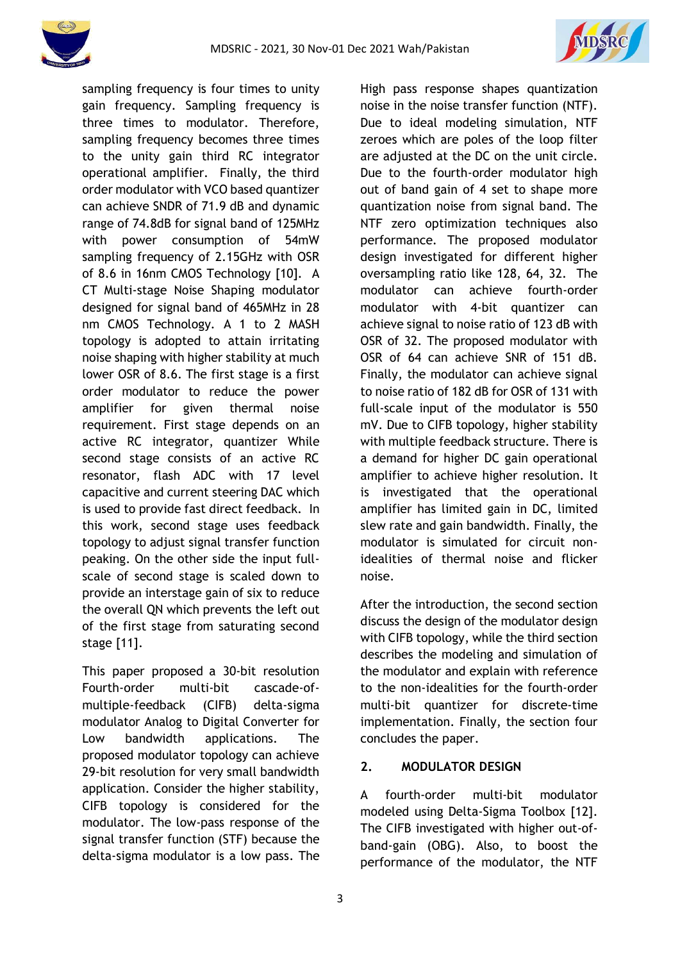



sampling frequency is four times to unity gain frequency. Sampling frequency is three times to modulator. Therefore, sampling frequency becomes three times to the unity gain third RC integrator operational amplifier. Finally, the third order modulator with VCO based quantizer can achieve SNDR of 71.9 dB and dynamic range of 74.8dB for signal band of 125MHz with power consumption of 54mW sampling frequency of 2.15GHz with OSR of 8.6 in 16nm CMOS Technology [10]. A CT Multi-stage Noise Shaping modulator designed for signal band of 465MHz in 28 nm CMOS Technology. A 1 to 2 MASH topology is adopted to attain irritating noise shaping with higher stability at much lower OSR of 8.6. The first stage is a first order modulator to reduce the power amplifier for given thermal noise requirement. First stage depends on an active RC integrator, quantizer While second stage consists of an active RC resonator, flash ADC with 17 level capacitive and current steering DAC which is used to provide fast direct feedback. In this work, second stage uses feedback topology to adjust signal transfer function peaking. On the other side the input fullscale of second stage is scaled down to provide an interstage gain of six to reduce the overall QN which prevents the left out of the first stage from saturating second stage [11].

This paper proposed a 30-bit resolution Fourth-order multi-bit cascade-ofmultiple-feedback (CIFB) delta-sigma modulator Analog to Digital Converter for Low bandwidth applications. The proposed modulator topology can achieve 29-bit resolution for very small bandwidth application. Consider the higher stability, CIFB topology is considered for the modulator. The low-pass response of the signal transfer function (STF) because the delta-sigma modulator is a low pass. The High pass response shapes quantization noise in the noise transfer function (NTF). Due to ideal modeling simulation, NTF zeroes which are poles of the loop filter are adjusted at the DC on the unit circle. Due to the fourth-order modulator high out of band gain of 4 set to shape more quantization noise from signal band. The NTF zero optimization techniques also performance. The proposed modulator design investigated for different higher oversampling ratio like 128, 64, 32. The modulator can achieve fourth-order modulator with 4-bit quantizer can achieve signal to noise ratio of 123 dB with OSR of 32. The proposed modulator with OSR of 64 can achieve SNR of 151 dB. Finally, the modulator can achieve signal to noise ratio of 182 dB for OSR of 131 with full-scale input of the modulator is 550 mV. Due to CIFB topology, higher stability with multiple feedback structure. There is a demand for higher DC gain operational amplifier to achieve higher resolution. It is investigated that the operational amplifier has limited gain in DC, limited slew rate and gain bandwidth. Finally, the modulator is simulated for circuit nonidealities of thermal noise and flicker noise.

After the introduction, the second section discuss the design of the modulator design with CIFB topology, while the third section describes the modeling and simulation of the modulator and explain with reference to the non-idealities for the fourth-order multi-bit quantizer for discrete-time implementation. Finally, the section four concludes the paper.

## **2. MODULATOR DESIGN**

A fourth-order multi-bit modulator modeled using Delta-Sigma Toolbox [12]. The CIFB investigated with higher out-ofband-gain (OBG). Also, to boost the performance of the modulator, the NTF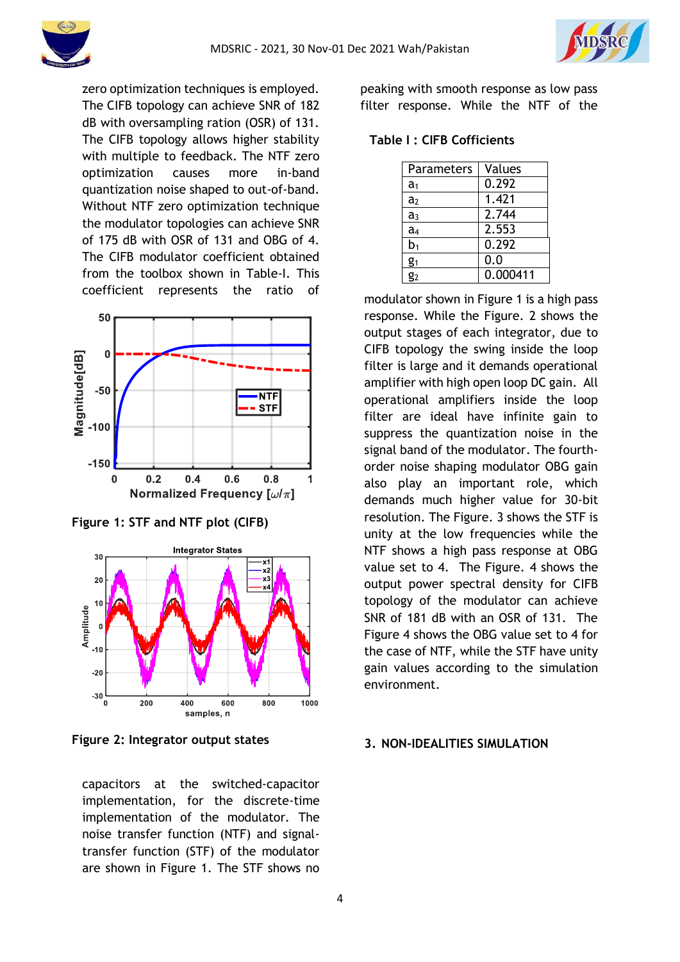

zero optimization techniques is employed. The CIFB topology can achieve SNR of 182 dB with oversampling ration (OSR) of 131. The CIFB topology allows higher stability with multiple to feedback. The NTF zero optimization causes more in-band quantization noise shaped to out-of-band. Without NTF zero optimization technique the modulator topologies can achieve SNR of 175 dB with OSR of 131 and OBG of 4. The CIFB modulator coefficient obtained from the toolbox shown in Table-I. This coefficient represents the ratio of



**Figure 1: STF and NTF plot (CIFB)**



**Figure 2: Integrator output states**

capacitors at the switched-capacitor implementation, for the discrete-time implementation of the modulator. The noise transfer function (NTF) and signaltransfer function (STF) of the modulator are shown in Figure 1. The STF shows no peaking with smooth response as low pass filter response. While the NTF of the

## **Table I : CIFB Cofficients**

| <b>Parameters</b> | Values   |
|-------------------|----------|
| a <sub>1</sub>    | 0.292    |
| a <sub>2</sub>    | 1.421    |
| a <sub>3</sub>    | 2.744    |
| a <sub>4</sub>    | 2.553    |
| b1                | 0.292    |
| $g_1$             | 0.0      |
| g2                | 0.000411 |

modulator shown in Figure 1 is a high pass response. While the Figure. 2 shows the output stages of each integrator, due to CIFB topology the swing inside the loop filter is large and it demands operational amplifier with high open loop DC gain. All operational amplifiers inside the loop filter are ideal have infinite gain to suppress the quantization noise in the signal band of the modulator. The fourthorder noise shaping modulator OBG gain also play an important role, which demands much higher value for 30-bit resolution. The Figure. 3 shows the STF is unity at the low frequencies while the NTF shows a high pass response at OBG value set to 4. The Figure. 4 shows the output power spectral density for CIFB topology of the modulator can achieve SNR of 181 dB with an OSR of 131. The Figure 4 shows the OBG value set to 4 for the case of NTF, while the STF have unity gain values according to the simulation environment.

### **3. NON-IDEALITIES SIMULATION**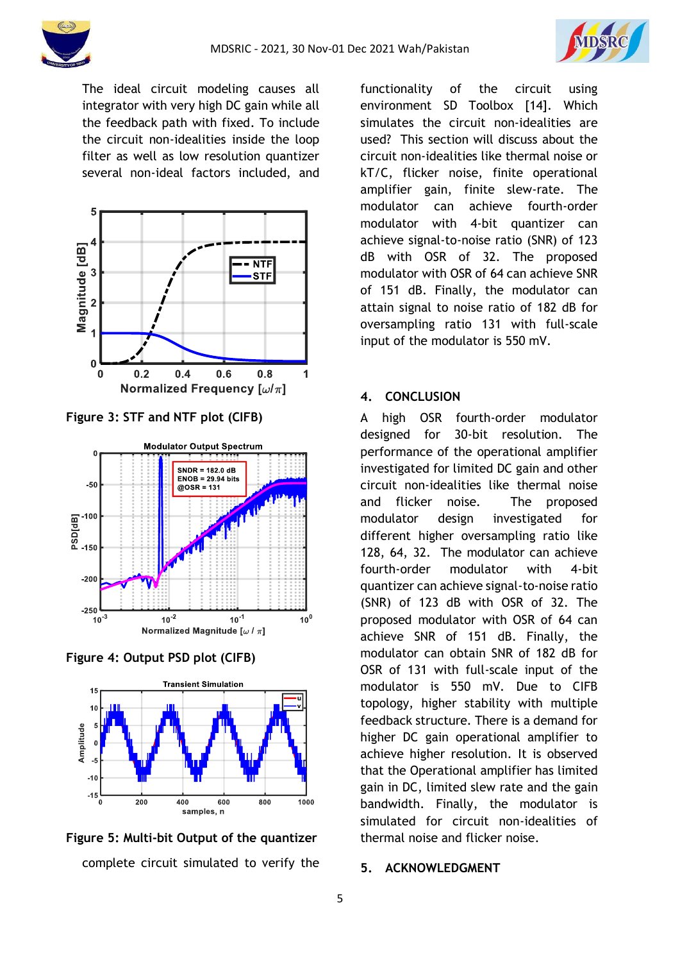



The ideal circuit modeling causes all integrator with very high DC gain while all the feedback path with fixed. To include the circuit non-idealities inside the loop filter as well as low resolution quantizer several non-ideal factors included, and



**Figure 3: STF and NTF plot (CIFB)**



**Figure 4: Output PSD plot (CIFB)**



complete circuit simulated to verify the **Figure 5: Multi-bit Output of the quantizer**

functionality of the circuit using environment SD Toolbox [14]. Which simulates the circuit non-idealities are used? This section will discuss about the circuit non-idealities like thermal noise or kT/C, flicker noise, finite operational amplifier gain, finite slew-rate. The modulator can achieve fourth-order modulator with 4-bit quantizer can achieve signal-to-noise ratio (SNR) of 123 dB with OSR of 32. The proposed modulator with OSR of 64 can achieve SNR of 151 dB. Finally, the modulator can attain signal to noise ratio of 182 dB for oversampling ratio 131 with full-scale input of the modulator is 550 mV.

## **4. CONCLUSION**

A high OSR fourth-order modulator designed for 30-bit resolution. The performance of the operational amplifier investigated for limited DC gain and other circuit non-idealities like thermal noise and flicker noise. The proposed modulator design investigated for different higher oversampling ratio like 128, 64, 32. The modulator can achieve fourth-order modulator with 4-bit quantizer can achieve signal-to-noise ratio (SNR) of 123 dB with OSR of 32. The proposed modulator with OSR of 64 can achieve SNR of 151 dB. Finally, the modulator can obtain SNR of 182 dB for OSR of 131 with full-scale input of the modulator is 550 mV. Due to CIFB topology, higher stability with multiple feedback structure. There is a demand for higher DC gain operational amplifier to achieve higher resolution. It is observed that the Operational amplifier has limited gain in DC, limited slew rate and the gain bandwidth. Finally, the modulator is simulated for circuit non-idealities of thermal noise and flicker noise.

### **5. ACKNOWLEDGMENT**